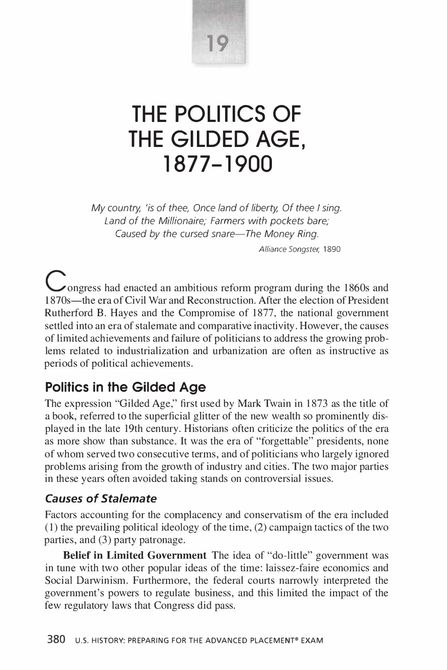

# **THE POLITICS OF THE GILDED AGE, 1877-1900**

*My country, 'is of thee, Once land of liberty, Of thee I sing.*  Land of the Millionaire; Farmers with pockets bare; *Caused by the cursed snare-The Money Ring. Alliance Songster,* 1890

Congress had enacted an ambitious reform program during the 1860s and 1870s—the era of Civil War and Reconstruction. After the election of President Rutherford B. Hayes and the Compromise of 1877, the national government settled into an era of stalemate and comparative inactivity. However, the causes of limited achievements and failure of politicians to address the growing problems related to industrialization and urbanization are often as instructive as periods of political achievements.

# **Politics in the Gilded Age**

The expression "Gilded Age," first used by Mark Twain in 1873 as the title of a book, referred to the superficial glitter of the new wealth so prominently displayed in the late 19th century. Historians often criticize the politics of the era as more show than substance. It was the era of "forgettable" presidents, none of whom served two consecutive terms, and of politicians who largely ignored problems arising from the growth of industry and cities. The two major parties in these years often avoided taking stands on controversial issues.

### *Causes of Stalemate*

Factors accounting for the complacency and conservatism of the era included (1) the prevailing political ideology of the time, (2) campaign tactics of the two parties, and (3) party patronage.

**Belief in Limited Government** The idea of "do-little" government was in tune with two other popular ideas of the time: laissez-faire economics and Social Darwinism. Furthermore, the federal courts narrowly interpreted the government's powers to regulate business, and this limited the impact of the few regulatory laws that Congress did pass.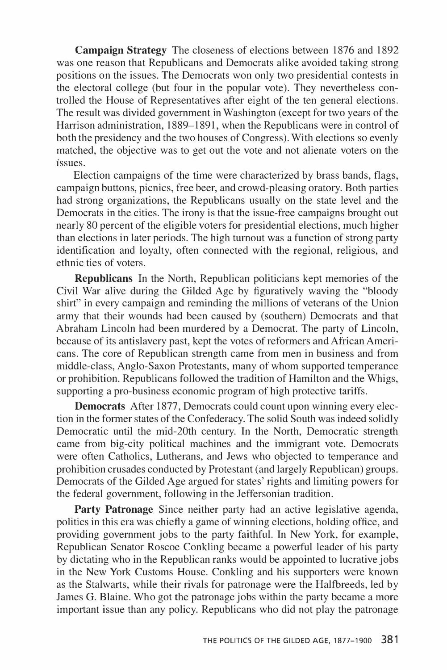**Campaign Strategy** The closeness of elections between 1876 and 1892 was one reason that Republicans and Democrats alike avoided taking strong positions on the issues. The Democrats won only two presidential contests in the electoral college (but four in the popular vote). They nevertheless controlled the House of Representatives after eight of the ten general elections. The result was divided government in Washington (except for two years of the Harrison administration, 1889-1891, when the Republicans were in control of both the presidency and the two houses of Congress). With elections so evenly matched, the objective was to get out the vote and not alienate voters on the issues.

Election campaigns of the time were characterized by brass bands, flags, campaign buttons, picnics, free beer, and crowd-pleasing oratory. Both parties had strong organizations, the Republicans usually on the state level and the Democrats in the cities. The irony is that the issue-free campaigns brought out nearly 80 percent of the eligible voters for presidential elections, much higher than elections in later periods. The high turnout was a function of strong party identification and loyalty, often connected with the regional, religious, and ethnic ties of voters.

**Republicans** In the North, Republican politicians kept memories of the Civil War alive during the Gilded Age by figuratively waving the "bloody shirt" in every campaign and reminding the millions of veterans of the Union army that their wounds had been caused by (southern) Democrats and that Abraham Lincoln had been murdered by a Democrat. The party of Lincoln, because of its antislavery past, kept the votes of reformers and African Americans. The core of Republican strength came from men in business and from middle-class, Anglo-Saxon Protestants, many of whom supported temperance or prohibition. Republicans followed the tradition of Hamilton and the Whigs, supporting a pro-business economic program of high protective tariffs.

**Democrats** After 1877, Democrats could count upon winning every election in the former states of the Confederacy. The solid South was indeed solidly Democratic until the mid-20th century. In the North, Democratic strength came from big-city political machines and the immigrant vote. Democrats were often Catholics, Lutherans, and Jews who objected to temperance and prohibition crusades conducted by Protestant (and largely Republican) groups. Democrats of the Gilded Age argued for states' rights and limiting powers for the federal government, following in the Jeffersonian tradition.

**Party Patronage** Since neither party had an active legislative agenda, politics in this era was chiefly a game of winning elections, holding office, and providing government jobs to the party faithful. In New York, for example, Republican Senator Roscoe Conkling became a powerful leader of his party by dictating who in the Republican ranks would be appointed to lucrative jobs in the New York Customs House. Conkling and his supporters were known as the Stalwarts, while their rivals for patronage were the Halfbreeds, led by James G. Blaine. Who got the patronage jobs within the party became a more important issue than any policy. Republicans who did not play the patronage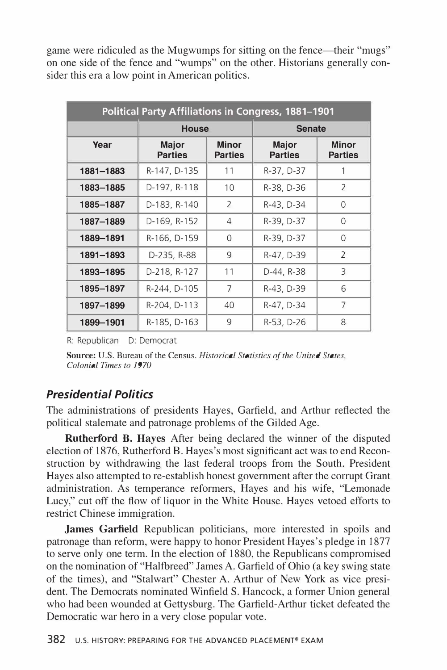game were ridiculed as the Mugwumps for sitting on the fence—their "mugs" on one side of the fence and "wumps" on the other. Historians generally consider this era a low point in American politics.

| <b>Political Party Affiliations in Congress, 1881-1901</b> |                                |                                |                                |                                |
|------------------------------------------------------------|--------------------------------|--------------------------------|--------------------------------|--------------------------------|
|                                                            | <b>House</b>                   |                                | <b>Senate</b>                  |                                |
| Year                                                       | <b>Major</b><br><b>Parties</b> | <b>Minor</b><br><b>Parties</b> | <b>Major</b><br><b>Parties</b> | <b>Minor</b><br><b>Parties</b> |
| 1881-1883                                                  | R-147, D-135                   | 11                             | R-37, D-37                     | 1                              |
| 1883-1885                                                  | D-197, R-118                   | 10                             | R-38, D-36                     | 2                              |
| 1885-1887                                                  | D-183, R-140                   | $\mathcal{L}$                  | R-43, D-34                     | $\Omega$                       |
| 1887-1889                                                  | D-169, R-152                   | $\overline{4}$                 | R-39, D-37                     | $\Omega$                       |
| 1889-1891                                                  | R-166, D-159                   | 0                              | R-39, D-37                     | $\overline{O}$                 |
| 1891-1893                                                  | D-235, R-88                    | 9                              | R-47, D-39                     | 2                              |
| 1893-1895                                                  | D-218, R-127                   | 11                             | D-44, R-38                     | 3                              |
| 1895-1897                                                  | R-244, D-105                   | 7                              | R-43, D-39                     | 6                              |
| 1897-1899                                                  | R-204, D-113                   | 40                             | R-47, D-34                     | 7                              |
| 1899-1901                                                  | R-185, D-163                   | 9                              | R-53, D-26                     | 8                              |

R: Republican D: Democrat

**Source:** U.S. Bureau of the Census. *Historical Statistics of the United States, Colonial Times to 1970* 

### *Presidential Politics*

The administrations of presidents Hayes, Garfield, and Arthur reflected the political stalemate and patronage problems of the Gilded Age.

**Rutherford B. Hayes** After being declared the winner of the disputed election of 1876, Rutherford B. Hayes's most significant act was to end Reconstruction by withdrawing the last federal troops from the South. President Hayes also attempted to re-establish honest government after the corrupt Grant administration. As temperance reformers, Hayes and his wife, "Lemonade Lucy," cut off the flow of liquor in the White House. Hayes vetoed efforts to restrict Chinese immigration.

**James Garfield** Republican politicians, more interested in spoils and patronage than reform, were happy to honor President Hayes's pledge in 1877 to serve only one term. In the election of 1880, the Republicans compromised on the nomination of "Halfbreed" James A. Garfield of Ohio (a key swing state of the times), and "Stalwart" Chester A. Arthur of New York as vice president. The Democrats nominated Winfield S. Hancock, a former Union general who had been wounded at Gettysburg. The Garfield-Arthur ticket defeated the Democratic war hero in a very close popular vote.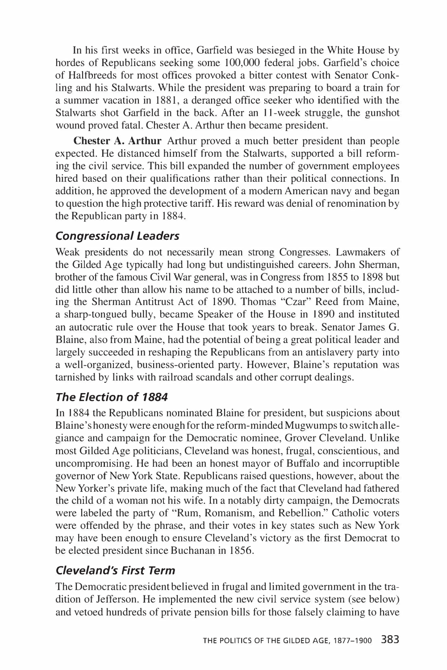In his first weeks in office, Garfield was besieged in the White House by hordes of Republicans seeking some 100,000 federal jobs. Garfield's choice of Halfbreeds for most offices provoked a bitter contest with Senator Conkling and his Stalwarts. While the president was preparing to board a train for a summer vacation in 1881, a deranged office seeker who identified with the Stalwarts shot Garfield in the back. After an 11-week struggle, the gunshot wound proved fatal. Chester A. Arthur then became president.

**Chester A. Arthur** Arthur proved a much better president than people expected. He distanced himself from the Stalwarts, supported a bill reforming the civil service. This bill expanded the number of government employees hired based on their qualifications rather than their political connections. In addition, he approved the development of a modern American navy and began to question the high protective tariff. His reward was denial of renomination by the Republican party in 1884.

### *Congressional leaders*

Weak presidents do not necessarily mean strong Congresses. Lawmakers of the Gilded Age typically had long but undistinguished careers. John Sherman, brother of the famous Civil War general, was in Congress from 1855 to 1898 but did little other than allow his name to be attached to a number of bills, including the Sherman Antitrust Act of 1890. Thomas "Czar" Reed from Maine, a sharp-tongued bully, became Speaker of the House in 1890 and instituted an autocratic rule over the House that took years to break. Senator James G. Blaine, also from Maine, had the potential of being a great political leader and largely succeeded in reshaping the Republicans from an antislavery party into a well-organized, business-oriented party. However, Blaine's reputation was tarnished by links with railroad scandals and other corrupt dealings.

### *The Election of 1884*

In 1884 the Republicans nominated Blaine for president, but suspicions about Blaine's honesty were enough for the reform-minded Mugwumps to switch allegiance and campaign for the Democratic nominee, Grover Cleveland. Unlike most Gilded Age politicians, Cleveland was honest, frugal, conscientious, and uncompromising. He had been an honest mayor of Buffalo and incorruptible governor of New York State. Republicans raised questions, however, about the New Yorker's private life, making much of the fact that Cleveland had fathered the child of a woman not his wife. In a notably dirty campaign, the Democrats were labeled the party of "Rum, Romanism, and Rebellion." Catholic voters were offended by the phrase, and their votes in key states such as New York may have been enough to ensure Cleveland's victory as the first Democrat to be elected president since Buchanan in 1856.

### *Cleveland's First Term*

The Democratic president believed in frugal and limited government in the tradition of Jefferson. He implemented the new civil service system (see below) and vetoed hundreds of private pension bills for those falsely claiming to have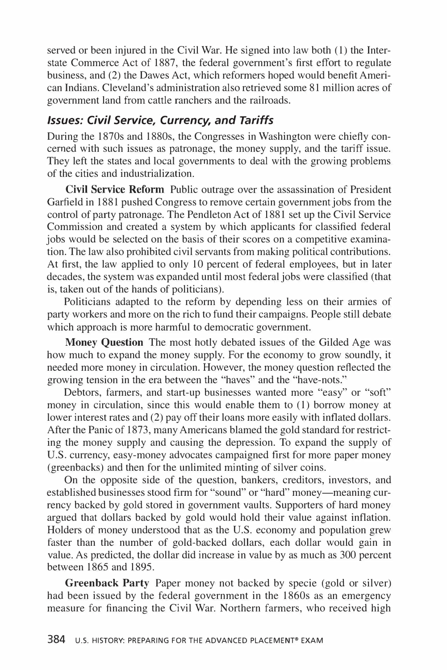served or been injured in the Civil War. He signed into law both (1) the Interstate Commerce Act of 1887, the federal government's first effort to regulate business, and (2) the Dawes Act, which reformers hoped would benefit American Indians. Cleveland's administration also retrieved some 81 million acres of government land from cattle ranchers and the railroads.

#### *Issues: Civil Service, Currency, and Tariffs*

During the 1870s and 1880s, the Congresses in Washington were chiefly concerned with such issues as patronage, the money supply, and the tariff issue. They left the states and local governments to deal with the growing problems of the cities and industrialization.

**Civil Service Reform** Public outrage over the assassination of President Garfield in 1881 pushed Congress to remove certain government jobs from the control of party patronage. The Pendleton Act of 1881 set up the Civil Service Commission and created a system by which applicants for classified federal jobs would be selected on the basis of their scores on a competitive examination. The law also prohibited civil servants from making political contributions. At first, the law applied to only 10 percent of federal employees, but in later decades, the system was expanded until most federal jobs were classified (that is, taken out of the hands of politicians).

Politicians adapted to the reform by depending less on their armies of party workers and more on the rich to fund their campaigns. People still debate which approach is more harmful to democratic government.

**Money Question** The most hotly debated issues of the Gilded Age was how much to expand the money supply. For the economy to grow soundly, it needed more money in circulation. However, the money question reflected the growing tension in the era between the "haves" and the "have-nots."

Debtors, farmers, and start-up businesses wanted more "easy" or "soft" money in circulation, since this would enable them to (1) borrow money at lower interest rates and (2) pay off their loans more easily with inflated dollars. After the Panic of 1873, many Americans blamed the gold standard for restricting the money supply and causing the depression. To expand the supply of U.S. currency, easy-money advocates campaigned first for more paper money (greenbacks) and then for the unlimited minting of silver coins.

On the opposite side of the question, bankers, creditors, investors, and established businesses stood firm for "sound" or "hard" money—meaning currency backed by gold stored in government vaults. Supporters of hard money argued that dollars backed by gold would hold their value against inflation. Holders of money understood that as the U.S. economy and population grew faster than the number of gold-backed dollars, each dollar would gain in value. As predicted, the dollar did increase in value by as much as 300 percent between 1865 and 1895.

**Greenback Party** Paper money not backed by specie (gold or silver) had been issued by the federal government in the 1860s as an emergency measure for financing the Civil War. Northern farmers, who received high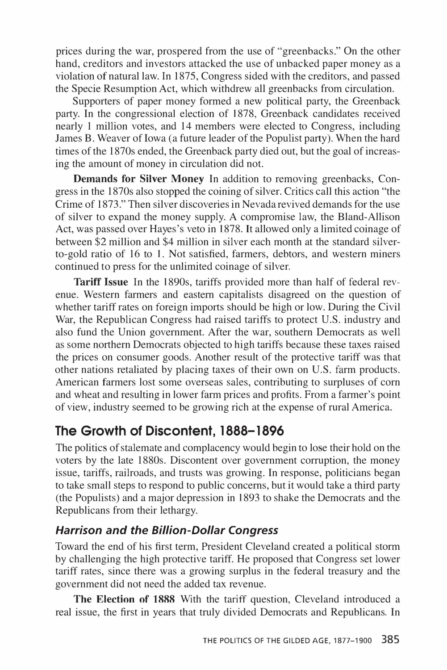prices during the war, prospered from the use of "greenbacks." On the other hand, creditors and investors attacked the use of unbacked paper money as a violation of natural law. In 1875, Congress sided with the creditors, and passed the Specie Resumption Act, which withdrew all greenbacks from circulation.

Supporters of paper money formed a new political party, the Greenback party. In the congressional election of 1878, Greenback candidates received nearly 1 million votes, and 14 members were elected to Congress, including James B. Weaver of Iowa (a future leader of the Populist party). When the hard times of the 1870s ended, the Greenback party died out, but the goal of increasing the amount of money in circulation did not.

**Demands for Silver Money** In addition to removing greenbacks, Congress in the 1870s also stopped the coining of silver. Critics call this action "the Crime of 1873." Then silver discoveries in Nevada revived demands for the use of silver to expand the money supply. A compromise law, the Bland-Allison Act, was passed over Hayes's veto in 1878. It allowed only a limited coinage of between \$2 million and \$4 million in silver each month at the standard silverto-gold ratio of 16 to 1. Not satisfied, farmers, debtors, and western miners continued to press for the unlimited coinage of silver.

**Tariff Issue** In the 1890s, tariffs provided more than half of federal revenue. Western farmers and eastern capitalists disagreed on the question of whether tariff rates on foreign imports should be high or low. During the Civil War, the Republican Congress had raised tariffs to protect U.S. industry and also fund the Union government. After the war, southern Democrats as well as some northern Democrats objected to high tariffs because these taxes raised the prices on consumer goods. Another result of the protective tariff was that other nations retaliated by placing taxes of their own on U.S. farm products. American farmers lost some overseas sales, contributing to surpluses of corn and wheat and resulting in lower farm prices and profits. From a farmer's point of view, industry seemed to be growing rich at the expense of rural America.

# **The Growth of Discontent, 1888-1896**

The politics of stalemate and complacency would begin to lose their hold on the voters by the late 1880s. Discontent over government corruption, the money issue, tariffs, railroads, and trusts was growing. In response, politicians began to take small steps to respond to public concerns, but it would take a third party (the Populists) and a major depression in 1893 to shake the Democrats and the Republicans from their lethargy.

### *Harrison and the Billion-Dollar Congress*

Toward the end of his first term, President Cleveland created a political storm by challenging the high protective tariff. He proposed that Congress set lower tariff rates, since there was a growing surplus in the federal treasury and the government did not need the added tax revenue.

**The Election of 1888** With the tariff question, Cleveland introduced a real issue, the first in years that truly divided Democrats and Republicans. In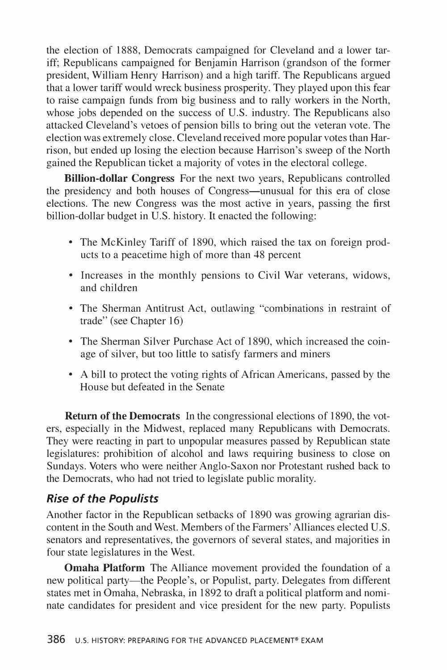the election of 1888, Democrats campaigned for Cleveland and a lower tariff; Republicans campaigned for Benjamin Harrison (grandson of the former president, William Henry Harrison) and a high tariff. The Republicans argued that a lower tariff would wreck business prosperity. They played upon this fear to raise campaign funds from big business and to rally workers in the North, whose jobs depended on the success of U.S. industry. The Republicans also attacked Cleveland's vetoes of pension bills to bring out the veteran vote. The election was extremely close. Cleveland received more popular votes than Harrison, but ended up losing the election because Harrison's sweep of the North gained the Republican ticket a majority of votes in the electoral college.

**Billion-dollar Congress** For the next two years, Republicans controlled the presidency and both houses of Congress-unusual for this era of close elections. The new Congress was the most active in years, passing the first billion-dollar budget in U.S. history. It enacted the following:

- The McKinley Tariff of 1890, which raised the tax on foreign products to a peacetime high of more than 48 percent
- Increases in the monthly pensions to Civil War veterans, widows, and children
- The Sherman Antitrust Act, outlawing "combinations in restraint of trade" (see Chapter 16)
- The Sherman Silver Purchase Act of 1890, which increased the coinage of silver, but too little to satisfy farmers and miners
- A bill to protect the voting rights of African Americans, passed by the House but defeated in the Senate

**Return of the Democrats** In the congressional elections of 1890, the voters, especially in the Midwest, replaced many Republicans with Democrats. They were reacting in part to unpopular measures passed by Republican state legislatures: prohibition of alcohol and laws requiring business to close on Sundays. Voters who were neither Anglo-Saxon nor Protestant rushed back to the Democrats, who had not tried to legislate public morality.

#### *Rise of the Populists*

Another factor in the Republican setbacks of 1890 was growing agrarian discontent in the South and West. Members of the Farmers' Alliances elected U.S. senators and representatives, the governors of several states, and majorities in four state legislatures in the West.

**Omaha Platform** The Alliance movement provided the foundation of a new political party—the People's, or Populist, party. Delegates from different states met in Omaha, Nebraska, in 1892 to draft a political platform and nominate candidates for president and vice president for the new party. Populists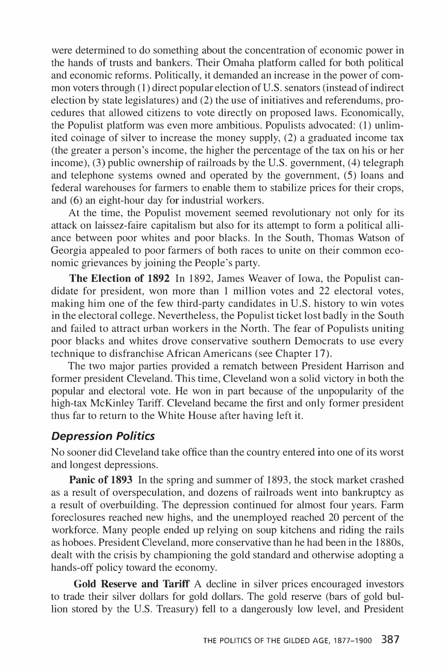were determined to do something about the concentration of economic power in the hands of trusts and bankers. Their Omaha platform called for both political and economic reforms. Politically, it demanded an increase in the power of common voters through (1) direct popular election of U.S. senators (instead of indirect election by state legislatures) and (2) the use of initiatives and referendums, procedures that allowed citizens to vote directly on proposed laws. Economically, the Populist platform was even more ambitious. Populists advocated: (1) unlimited coinage of silver to increase the money supply, (2) a graduated income tax (the greater a person's income, the higher the percentage of the tax on his or her income), (3) public ownership of railroads by the U.S. government, (4) telegraph and telephone systems owned and operated by the government, (5) loans and federal warehouses for farmers to enable them to stabilize prices for their crops, and (6) an eight-hour day for industrial workers.

At the time, the Populist movement seemed revolutionary not only for its attack on laissez-faire capitalism but also for its attempt to form a political alliance between poor whites and poor blacks. In the South, Thomas Watson of Georgia appealed to poor farmers of both races to unite on their common economic grievances by joining the People's party.

**The Election of 1892** In 1892, James Weaver of Iowa, the Populist candidate for president, won more than 1 million votes and 22 electoral votes, making him one of the few third-party candidates in U.S. history to win votes in the electoral college. Nevertheless, the Populist ticket lost badly in the South and failed to attract urban workers in the North. The fear of Populists uniting poor blacks and whites drove conservative southern Democrats to use every technique to disfranchise African Americans (see Chapter 17).

The two major parties provided a rematch between President Harrison and former president Cleveland. This time, Cleveland won a solid victory in both the popular and electoral vote. He won in part because of the unpopularity of the high-tax McKinley Tariff. Cleveland became the first and only former president thus far to return to the White House after having left it.

#### *Depression Politics*

No sooner did Cleveland take office than the country entered into one of its worst and longest depressions.

**Panic of 1893** In the spring and summer of 1893, the stock market crashed as a result of overspeculation, and dozens of railroads went into bankruptcy as a result of overbuilding. The depression continued for almost four years. Farm foreclosures reached new highs, and the unemployed reached 20 percent of the workforce. Many people ended up relying on soup kitchens and riding the rails as hoboes. President Cleveland, more conservative than he had been in the 1880s, dealt with the crisis by championing the gold standard and otherwise adopting a hands-off policy toward the economy.

**Gold Reserve and Tariff** A decline in silver prices encouraged investors to trade their silver dollars for gold dollars. The gold reserve (bars of gold bullion stored by the U.S. Treasury) fell to a dangerously low level, and President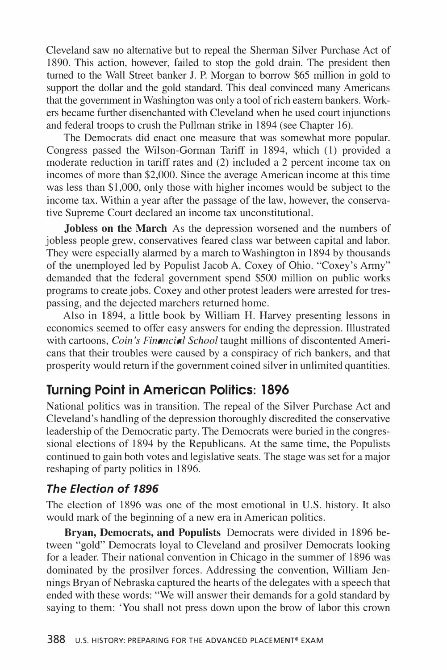Cleveland saw no alternative but to repeal the Sherman Silver Purchase Act of 1890. This action, however, failed to stop the gold drain. The president then turned to the Wall Street banker J. P. Morgan to borrow \$65 million in gold to support the dollar and the gold standard. This deal convinced many Americans that the government in Washington was only a tool of rich eastern bankers. Workers became further disenchanted with Cleveland when he used court injunctions and federal troops to crush the Pullman strike in 1894 (see Chapter 16).

The Democrats did enact one measure that was somewhat more popular. Congress passed the Wilson-Gorman Tariff in 1894, which (1) provided a moderate reduction in tariff rates and (2) included a 2 percent income tax on incomes of more than \$2,000. Since the average American income at this time was less than \$1,000, only those with higher incomes would be subject to the income tax. Within a year after the passage of the law, however, the conservative Supreme Court declared an income tax unconstitutional.

**Jobless on the March** As the depression worsened and the numbers of jobless people grew, conservatives feared class war between capital and labor. They were especially alarmed by a march to Washington in 1894 by thousands of the unemployed led by Populist Jacob A. Coxey of Ohio. "Coxey's Army" demanded that the federal government spend \$500 million on public works programs to create jobs. Coxey and other protest leaders were arrested for trespassing, and the dejected marchers returned home.

Also in 1894, a little book by William H. Harvey presenting lessons in economics seemed to offer easy answers for ending the depression. Illustrated with cartoons, *Coin's Financial School* taught millions of discontented Americans that their troubles were caused by a conspiracy of rich bankers, and that prosperity would return if the government coined silver in unlimited quantities.

# **Turning Point in American Politics: 1896**

National politics was in transition. The repeal of the Silver Purchase Act and Cleveland's handling of the depression thoroughly discredited the conservative leadership of the Democratic party. The Democrats were buried in the congressional elections of 1894 by the Republicans. At the same time, the Populists continued to gain both votes and legislative seats. The stage was set for a major reshaping of party politics in 1896.

### *The Election of 1896*

The election of 1896 was one of the most emotional in U.S. history. It also would mark of the beginning of a new era in American politics.

**Bryan, Democrats, and Populists** Democrats were divided in 1896 between "gold" Democrats loyal to Cleveland and prosilver Democrats looking for a leader. Their national convention in Chicago in the summer of 1896 was dominated by the prosilver forces. Addressing the convention, William Jennings Bryan of Nebraska captured the hearts of the delegates with a speech that ended with these words: "We will answer their demands for a gold standard by saying to them: 'You shall not press down upon the brow of labor this crown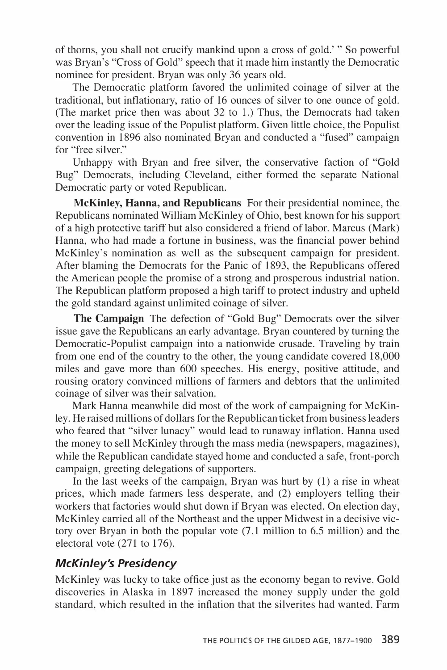of thorns, you shall not crucify mankind upon a cross of gold.' " So powerful was Bryan's "Cross of Gold" speech that it made him instantly the Democratic nominee for president. Bryan was only 36 years old.

The Democratic platform favored the unlimited coinage of silver at the traditional, but inflationary, ratio of 16 ounces of silver to one ounce of gold. (The market price then was about 32 to 1.) Thus, the Democrats had taken over the leading issue of the Populist platform. Given little choice, the Populist convention in 1896 also nominated Bryan and conducted a "fused" campaign for "free silver."

Unhappy with Bryan and free silver, the conservative faction of "Gold Bug" Democrats, including Cleveland, either formed the separate National Democratic party or voted Republican.

**McKinley, Hanna, and Republicans** For their presidential nominee, the Republicans nominated William McKinley of Ohio, best known for his support of a high protective tariff but also considered a friend of labor. Marcus (Mark) Hanna, who had made a fortune in business, was the financial power behind McKinley's nomination as well as the subsequent campaign for president. After blaming the Democrats for the Panic of 1893, the Republicans offered the American people the promise of a strong and prosperous industrial nation. The Republican platform proposed a high tariff to protect industry and upheld the gold standard against unlimited coinage of silver.

**The Campaign** The defection of "Gold Bug" Democrats over the silver issue gave the Republicans an early advantage. Bryan countered by turning the Democratic-Populist campaign into a nationwide crusade. Traveling by train from one end of the country to the other, the young candidate covered 18,000 miles and gave more than 600 speeches. His energy, positive attitude, and rousing oratory convinced millions of farmers and debtors that the unlimited coinage of silver was their salvation.

Mark Hanna meanwhile did most of the work of campaigning for McKinley. He raised millions of dollars for the Republican ticket from business leaders who feared that "silver lunacy" would lead to runaway inflation. Hanna used the money to sell McKinley through the mass media (newspapers, magazines), while the Republican candidate stayed home and conducted a safe, front-porch campaign, greeting delegations of supporters.

In the last weeks of the campaign, Bryan was hurt by (1) a rise in wheat prices, which made farmers less desperate, and (2) employers telling their workers that factories would shut down if Bryan was elected. On election day, McKinley carried all of the Northeast and the upper Midwest in a decisive victory over Bryan in both the popular vote (7 .1 million to 6.5 million) and the electoral vote (271 to 176).

### *McKinley's Presidency*

McKinley was lucky to take office just as the economy began to revive. Gold discoveries in Alaska in 1897 increased the money supply under the gold standard, which resulted in the inflation that the silverites had wanted. Farm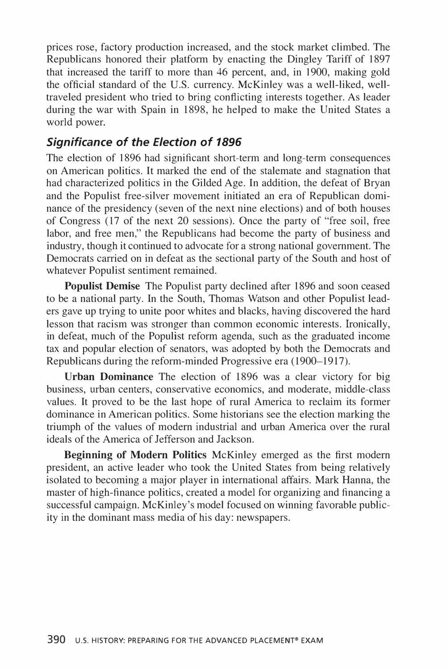prices rose, factory production increased, and the stock market climbed. The Republicans honored their platform by enacting the Dingley Tariff of 1897 that increased the tariff to more than 46 percent, and, in 1900, making gold the official standard of the U.S. currency. McKinley was a well-liked, welltraveled president who tried to bring conflicting interests together. As leader during the war with Spain in 1898, he helped to make the United States a world power.

#### *Significance of the Election of 1896*

The election of 1896 had significant short-term and long-term consequences on American politics. It marked the end of the stalemate and stagnation that had characterized politics in the Gilded Age. In addition, the defeat of Bryan and the Populist free-silver movement initiated an era of Republican dominance of the presidency (seven of the next nine elections) and of both houses of Congress (17 of the next 20 sessions). Once the party of "free soil, free labor, and free men," the Republicans had become the party of business and industry, though it continued to advocate for a strong national government. The Democrats carried on in defeat as the sectional party of the South and host of whatever Populist sentiment remained.

**Populist Demise** The Populist party declined after 1896 and soon ceased to be a national party. In the South, Thomas Watson and other Populist leaders gave up trying to unite poor whites and blacks, having discovered the hard lesson that racism was stronger than common economic interests. Ironically, in defeat, much of the Populist reform agenda, such as the graduated income tax and popular election of senators, was adopted by both the Democrats and Republicans during the reform-minded Progressive era (1900-1917).

**Urban Dominance** The election of 1896 was a clear victory for big business, urban centers, conservative economics, and moderate, middle-class values. It proved to be the last hope of rural America to reclaim its former dominance in American politics. Some historians see the election marking the triumph of the values of modem industrial and urban America over the rural ideals of the America of Jefferson and Jackson.

**Beginning of Modern Politics** McKinley emerged as the first modem president, an active leader who took the United States from being relatively isolated to becoming a major player in international affairs. Mark Hanna, the master of high-finance politics, created a model for organizing and financing a successful campaign. McKinley's model focused on winning favorable publicity in the dominant mass media of his day: newspapers.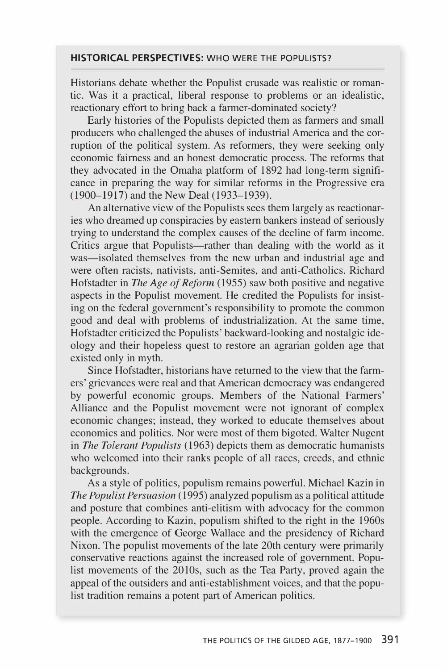#### **HISTORICAL PERSPECTIVES:** WHO WERE THE POPULISTS?

Historians debate whether the Populist crusade was realistic or romantic. Was it a practical, liberal response to problems or an idealistic, reactionary effort to bring back a farmer-dominated society?

Early histories of the Populists depicted them as farmers and small producers who challenged the abuses of industrial America and the corruption of the political system. As reformers, they were seeking only economic fairness and an honest democratic process. The reforms that they advocated in the Omaha platform of 1892 had long-term significance in preparing the way for similar reforms in the Progressive era (1900-1917) and the New Deal (1933-1939).

An alternative view of the Populists sees them largely as reactionaries who dreamed up conspiracies by eastern bankers instead of seriously trying to understand the complex causes of the decline of farm income. Critics argue that Populists—rather than dealing with the world as it was—isolated themselves from the new urban and industrial age and were often racists, nativists, anti-Semites, and anti-Catholics. Richard Hofstadter in *The Age of Reform* (1955) saw both positive and negative aspects in the Populist movement. He credited the Populists for insisting on the federal government's responsibility to promote the common good and deal with problems of industrialization. At the same time, Hofstadter criticized the Populists' backward-looking and nostalgic ideology and their hopeless quest to restore an agrarian golden age that existed only in myth.

Since Hofstadter, historians have returned to the view that the farmers' grievances were real and that American democracy was endangered by powerful economic groups. Members of the National Farmers' Alliance and the Populist movement were not ignorant of complex economic changes; instead, they worked to educate themselves about economics and politics. Nor were most of them bigoted. Walter Nugent in *The Tolerant Populists* (1963) depicts them as democratic humanists who welcomed into their ranks people of all races, creeds, and ethnic backgrounds.

As a style of politics, populism remains powerful. Michael Kazin in *The Populist Persuasion* (1995) analyzed populism as a political attitude and posture that combines anti-elitism with advocacy for the common people. According to Kazin, populism shifted to the right in the 1960s with the emergence of George Wallace and the presidency of Richard Nixon. The populist movements of the late 20th century were primarily conservative reactions against the increased role of government. Populist movements of the 2010s, such as the Tea Party, proved again the appeal of the outsiders and anti-establishment voices, and that the populist tradition remains a potent part of American politics.